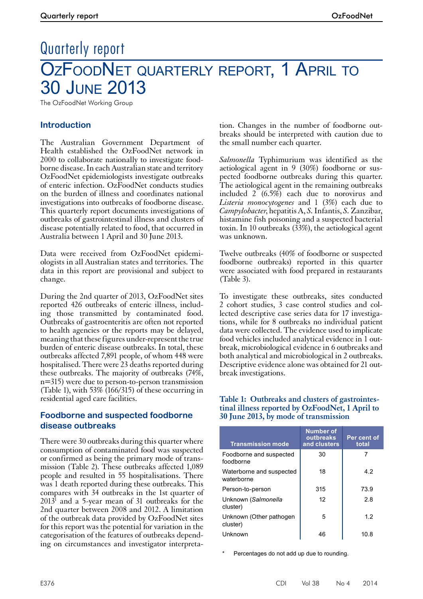# Quarterly report OZFOODNET QUARTERLY REPORT, 1 APRIL TO 30 June 2013

The OzFoodNet Working Group

# **Introduction**

The Australian Government Department of Health established the OzFoodNet network in 2000 to collaborate nationally to investigate foodborne disease. In each Australian state and territory OzFoodNet epidemiologists investigate outbreaks of enteric infection. OzFoodNet conducts studies on the burden of illness and coordinates national investigations into outbreaks of foodborne disease. This quarterly report documents investigations of outbreaks of gastrointestinal illness and clusters of disease potentially related to food, that occurred in Australia between 1 April and 30 June 2013.

Data were received from OzFoodNet epidemiologists in all Australian states and territories. The data in this report are provisional and subject to change.

During the 2nd quarter of 2013, OzFoodNet sites reported 426 outbreaks of enteric illness, including those transmitted by contaminated food. Outbreaks of gastroenteritis are often not reported to health agencies or the reports may be delayed, meaning that these figures under-represent the true burden of enteric disease outbreaks. In total, these outbreaks affected 7,891 people, of whom 448 were hospitalised. There were 23 deaths reported during these outbreaks. The majority of outbreaks (74%, n=315) were due to person-to-person transmission (Table 1), with 53% (166/315) of these occurring in residential aged care facilities.

# **Foodborne and suspected foodborne disease outbreaks**

There were 30 outbreaks during this quarter where consumption of contaminated food was suspected or confirmed as being the primary mode of transmission (Table 2). These outbreaks affected 1,089 people and resulted in 55 hospitalisations. There was 1 death reported during these outbreaks. This compares with 34 outbreaks in the 1st quarter of  $2013<sup>1</sup>$  and a 5-year mean of 31 outbreaks for the 2nd quarter between 2008 and 2012. A limitation of the outbreak data provided by OzFoodNet sites for this report was the potential for variation in the categorisation of the features of outbreaks depending on circumstances and investigator interpretation. Changes in the number of foodborne outbreaks should be interpreted with caution due to the small number each quarter.

*Salmonella* Typhimurium was identified as the aetiological agent in 9 (30%) foodborne or suspected foodborne outbreaks during this quarter. The aetiological agent in the remaining outbreaks included 2 (6.5%) each due to norovirus and *Listeria monocytogenes* and 1 (3%) each due to *Campylobacter*, hepatitis A, *S.* Infantis, *S.* Zanzibar, histamine fish poisoning and a suspected bacterial toxin. In 10 outbreaks (33%), the aetiological agent was unknown.

Twelve outbreaks (40% of foodborne or suspected foodborne outbreaks) reported in this quarter were associated with food prepared in restaurants (Table 3).

To investigate these outbreaks, sites conducted 2 cohort studies, 3 case control studies and collected descriptive case series data for 17 investigations, while for 8 outbreaks no individual patient data were collected. The evidence used to implicate food vehicles included analytical evidence in 1 outbreak, microbiological evidence in 6 outbreaks and both analytical and microbiological in 2 outbreaks. Descriptive evidence alone was obtained for 21 outbreak investigations.

# **Table 1: Outbreaks and clusters of gastrointes- tinal illness reported by OzFoodNet, 1 April to 30 June 2013, by mode of transmission**

| <b>Transmission mode</b>               | <b>Number of</b><br>outbreaks<br>and clusters | Per cent of<br>total |
|----------------------------------------|-----------------------------------------------|----------------------|
| Foodborne and suspected<br>foodborne   | 30                                            |                      |
| Waterborne and suspected<br>waterborne | 18                                            | 4.2                  |
| Person-to-person                       | 315                                           | 73.9                 |
| Unknown (Salmonella<br>cluster)        | 12                                            | 2.8                  |
| Unknown (Other pathogen<br>cluster)    | 5                                             | 1.2                  |
| Unknown                                | 46                                            | 10.8                 |

Percentages do not add up due to rounding.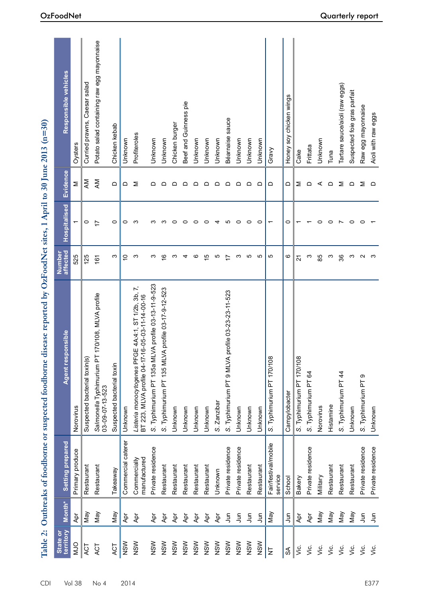| Table 2:              |                |                                 | Outbreaks of foodborne or suspected foodborne disease reported by OzFoodNet sites, 1 April to 30 June 2013 (n=30) |                    |                          |                 |                                            |
|-----------------------|----------------|---------------------------------|-------------------------------------------------------------------------------------------------------------------|--------------------|--------------------------|-----------------|--------------------------------------------|
| State or<br>territory | Month*         | Setting prepared                | Agent responsible                                                                                                 | Number<br>affected | Hospitalised             | <b>Evidence</b> | Responsible vehicles                       |
| OLM                   | Ąpr            | Primary produce                 | Norovirus                                                                                                         | 525                | $\overline{\phantom{0}}$ | Σ               | Oysters                                    |
| ACT                   | Vay            | Restaurant                      | Suspected bacterial toxin(s)                                                                                      | 125                | $\circ$                  | ΚM              | Curried prawns, Caesar salad               |
| ACT                   | Vay            | Restaurant                      | [170/108, MLVA profile<br>Salmonella Typhimurium P<br>03-09-07-13-523                                             | 161                | $\overline{1}$           | NΚ              | Potato salad containing raw egg mayonnaise |
| ACT                   | May            | Takeaway                        | Suspected bacterial toxin                                                                                         | က                  | $\circ$                  | $\Box$          | Chicken kebab                              |
| NSW                   | Apr            | Commercial caterer              | Unknown                                                                                                           | $\overline{C}$     | $\circ$                  | ≏               | Unknown                                    |
| NSW                   | Apr            | manufactured<br>Commercially    | Listeria monocytogenes PFGE 4A:4:1, ST 1/2b, 3b, 7,<br>BT 223, MLVA profile 04-17-16-05-03-11-14-00-16            | ო                  | ო                        | Σ               | Profiteroles                               |
| NSW                   | Apr            | Private residence               | LVA profile 03-13-11-9-523<br>S. Typhimurium PT 135a Mi                                                           | က                  | ო                        | ≏               | Unknown                                    |
| NSW                   | Apr            | Restaurant                      | S. Typhimurium PT 135 MLVA profile 03-17-9-12-523                                                                 | $\frac{6}{5}$      | S                        | ≏               | Unknown                                    |
| NSW                   | Apr            | Restaurant                      | Unknown                                                                                                           | က                  | $\circ$                  | ≏               | Chicken burger                             |
| NSW                   | Apr            | Restaurant                      | Unknown                                                                                                           | 4                  | $\circ$                  | ≏               | Beef and Guinness pie                      |
| NSW                   | $\overline{A}$ | Restaurant                      | Unknown                                                                                                           | ဖ                  | $\circ$                  | ≏               | Unknown                                    |
| NSW                   | Apr            | Restaurant                      | Unknown                                                                                                           | $\overline{5}$     | $\circ$                  | ≏               | Unknown                                    |
| NSW                   | Apr            | Unknown                         | S. Zanzibar                                                                                                       | Ю                  | 4                        | $\Omega$        | Unknown                                    |
| NSW                   | اس<br>س        | Private residence               | profile 03-23-23-11-523<br>S. Typhimurium PT 9 MLVA                                                               | $\overline{1}$     | 5                        | ≏               | Béarnaise sauce                            |
| NSW                   | ر<br>ا         | Private residence               | Unknown                                                                                                           | က                  | $\circ$                  | ≏               | Unknown                                    |
| NSW                   | ىر<br>سار      | Restaurant                      | Unknown                                                                                                           | 5                  | $\circ$                  | ≏               | Unknown                                    |
| NSW                   | $\bar{5}$      | Restaurant                      | Unknown                                                                                                           | 5                  | $\circ$                  | $\Omega$        | Unknown                                    |
| $\overline{z}$        | Nay            | Fair/festival/mobile<br>service | S. Typhimurium PT 170/108                                                                                         | 5                  | $\overline{\phantom{0}}$ | ≏               | Gravy                                      |
| $\mathfrak{F}$        | 5              | School                          | Campylobacter                                                                                                     | ဖ                  | 0                        | ≏               | Honey soy chicken wings                    |
| Š.                    | Apr            | Bakery                          | S. Typhimurium PT 170/108                                                                                         | 21                 |                          | Σ               | Cake                                       |
| Š.                    | Apr            | Private residence               | S. Typhimurium PT 64                                                                                              | ო                  |                          | $\Omega$        | Frittata                                   |
| Š.                    | Nay            | Military                        | Norovirus                                                                                                         | 85                 | 0                        | ⋖               | Unknown                                    |
| Уiс.                  | Vay            | Restaurant                      | Histamine                                                                                                         | ო                  | $\circ$                  | $\Omega$        | Tuna                                       |
| Š.                    | Vay            | Restaurant                      | S. Typhimurium PT 44                                                                                              | 36                 | $\overline{ }$           | Σ               | Tartare sauce/aioli (raw eggs)             |
| Š.                    | <b>May</b>     | Restaurant                      | Unknown                                                                                                           | ო                  | $\circ$                  | $\Omega$        | Suspected foie gras parfait                |
| Š.                    | <b>S</b>       | Private residence               | S. Typhimurium PT 9                                                                                               | $\sim$             | $\circ$                  | Σ               | Raw egg mayonnaise                         |
| غ<br>ا                | Jun            | Private residence               | Unknown                                                                                                           | <b>ം</b>           |                          | $\Omega$        | Aioli with raw eggs                        |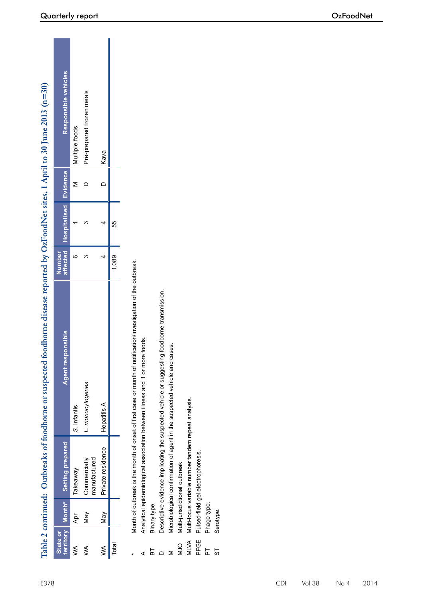|             |                  |                                                              | Table 2 continued: Outbreaks of foodborne or suspected foodborne disease reported by OzFoodNet sites, 1 April to 30 June 2013 (n=30) |                    |              |            |                           |
|-------------|------------------|--------------------------------------------------------------|--------------------------------------------------------------------------------------------------------------------------------------|--------------------|--------------|------------|---------------------------|
| State or    | territory Month* | <b>Setting prepared</b>                                      | Agent responsible                                                                                                                    | Number<br>affected | Hospitalised | Evidence   | Responsible vehicles      |
| ≸           | Apr              | Takeaway                                                     | S. Infantis                                                                                                                          | ဖ                  |              | Σ          | Multiple foods            |
| ≸           | <b>May</b>       | Commercially<br>manufactured                                 | L. monocytogenes                                                                                                                     | ო                  | ო            | ≏          | Pre-prepared frozen meals |
| ≸           | Nay              | Private residence                                            | Hepatitis A                                                                                                                          | 4                  | 4            | $\bigcirc$ | Kava                      |
| Total       |                  |                                                              |                                                                                                                                      | 1,089              | 55           |            |                           |
|             |                  |                                                              | Month of outbreak is the month of onset of first case or month of notification/investigation of the outbreak.                        |                    |              |            |                           |
|             |                  | Analytical epidemiological association between illness and 1 | or more foods.                                                                                                                       |                    |              |            |                           |
| 눕           | Binary type.     |                                                              |                                                                                                                                      |                    |              |            |                           |
|             |                  |                                                              | Descriptive evidence implicating the suspected vehicle or suggesting foodborne transmission.                                         |                    |              |            |                           |
|             |                  |                                                              | Microbiological confirmation of agent in the suspected vehicle and cases.                                                            |                    |              |            |                           |
| OCM         |                  | Multi-jurisdictional outbreak                                |                                                                                                                                      |                    |              |            |                           |
| <b>MLVA</b> |                  | Multi-locus variable number tandem repeat analysis.          |                                                                                                                                      |                    |              |            |                           |
| PFGE        |                  | Pulsed-field gel electrophoresis.                            |                                                                                                                                      |                    |              |            |                           |
| 눕           | Phage type.      |                                                              |                                                                                                                                      |                    |              |            |                           |
| 55          | Serotype.        |                                                              |                                                                                                                                      |                    |              |            |                           |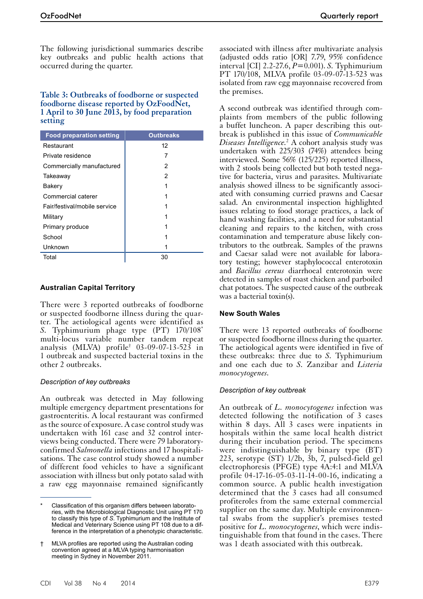The following jurisdictional summaries describe key outbreaks and public health actions that occurred during the quarter.

# **Table 3: Outbreaks of foodborne or suspected foodborne disease reported by OzFoodNet, 1 April to 30 June 2013, by food preparation setting**

| <b>Food preparation setting</b> | <b>Outbreaks</b> |
|---------------------------------|------------------|
| Restaurant                      | 12               |
| Private residence               | 7                |
| Commercially manufactured       | 2                |
| Takeaway                        | 2                |
| Bakery                          |                  |
| Commercial caterer              |                  |
| Fair/festival/mobile service    |                  |
| Military                        |                  |
| Primary produce                 |                  |
| School                          |                  |
| Unknown                         |                  |
| Total                           | 30               |

# **Australian Capital Territory**

There were 3 reported outbreaks of foodborne or suspected foodborne illness during the quarter. The aetiological agents were identified as *S.* Typhimurium phage type (PT) 170/108\* multi-locus variable number tandem repeat analysis (MLVA) profile† 03-09-07-13-523 in 1 outbreak and suspected bacterial toxins in the other 2 outbreaks.

#### *Description of key outbreaks*

An outbreak was detected in May following multiple emergency department presentations for gastroenteritis. A local restaurant was confirmed as the source of exposure. A case control study was undertaken with 161 case and 32 control interviews being conducted. There were 79 laboratoryconfirmed *Salmonella* infections and 17 hospitalisations. The case control study showed a number of different food vehicles to have a significant association with illness but only potato salad with a raw egg mayonnaise remained significantly

associated with illness after multivariate analysis (adjusted odds ratio [OR] 7.79, 95% confidence interval [CI] 2.2-27.6, *P*=0.001). *S.* Typhimurium PT 170/108, MLVA profile 03-09-07-13-523 was isolated from raw egg mayonnaise recovered from the premises.

A second outbreak was identified through complaints from members of the public following a buffet luncheon. A paper describing this outbreak is published in this issue of *Communicable Diseases Intelligence.*<sup>2</sup> A cohort analysis study was undertaken with 225/303 (74%) attendees being interviewed. Some 56% (125/225) reported illness, with 2 stools being collected but both tested negative for bacteria, virus and parasites. Multivariate analysis showed illness to be significantly associated with consuming curried prawns and Caesar salad. An environmental inspection highlighted issues relating to food storage practices, a lack of hand washing facilities, and a need for substantial cleaning and repairs to the kitchen, with cross contamination and temperature abuse likely contributors to the outbreak. Samples of the prawns and Caesar salad were not available for laboratory testing; however staphylococcal enterotoxin and *Bacillus cereus* diarrhoeal enterotoxin were detected in samples of roast chicken and parboiled chat potatoes. The suspected cause of the outbreak was a bacterial toxin(s).

#### **New South Wales**

There were 13 reported outbreaks of foodborne or suspected foodborne illness during the quarter. The aetiological agents were identified in five of these outbreaks: three due to *S.* Typhimurium and one each due to *S.* Zanzibar and *Listeria monocytogenes*.

# *Description of key outbreak*

An outbreak of *L. monocytogenes* infection was detected following the notification of 3 cases within 8 days. All 3 cases were inpatients in hospitals within the same local health district during their incubation period. The specimens were indistinguishable by binary type (BT) 223, serotype (ST) 1/2b, 3b, 7, pulsed-field gel electrophoresis (PFGE) type 4A:4:1 and MLVA profile 04-17-16-05-03-11-14-00-16, indicating a common source. A public health investigation determined that the 3 cases had all consumed profiteroles from the same external commercial supplier on the same day. Multiple environmental swabs from the supplier's premises tested positive for *L. monocytogenes*, which were indistinguishable from that found in the cases. There was 1 death associated with this outbreak.

Classification of this organism differs between laboratories, with the Microbiological Diagnostic Unit using PT 170 to classify this type of *S.* Typhimurium and the Institute of Medical and Veterinary Science using PT 108 due to a difference in the interpretation of a phenotypic characteristic.

<sup>†</sup> MLVA profiles are reported using the Australian coding convention agreed at a MLVA typing harmonisation meeting in Sydney in November 2011.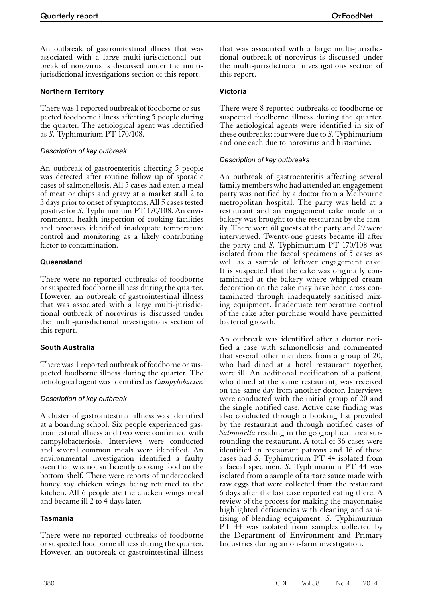An outbreak of gastrointestinal illness that was associated with a large multi-jurisdictional outbreak of norovirus is discussed under the multijurisdictional investigations section of this report.

# **Northern Territory**

There was 1 reported outbreak of foodborne or suspected foodborne illness affecting 5 people during the quarter. The aetiological agent was identified as *S.* Typhimurium PT 170/108.

#### *Description of key outbreak*

An outbreak of gastroenteritis affecting 5 people was detected after routine follow up of sporadic cases of salmonellosis. All 5 cases had eaten a meal of meat or chips and gravy at a market stall 2 to 3 days prior to onset of symptoms. All 5 cases tested positive for *S.* Typhimurium PT 170/108. An environmental health inspection of cooking facilities and processes identified inadequate temperature control and monitoring as a likely contributing factor to contamination.

# **Queensland**

There were no reported outbreaks of foodborne or suspected foodborne illness during the quarter. However, an outbreak of gastrointestinal illness that was associated with a large multi-jurisdictional outbreak of norovirus is discussed under the multi-jurisdictional investigations section of this report.

# **South Australia**

There was 1 reported outbreak of foodborne or sus- pected foodborne illness during the quarter. The aetiological agent was identified as *Campylobacter*.

# *Description of key outbreak*

A cluster of gastrointestinal illness was identified at a boarding school. Six people experienced gastrointestinal illness and two were confirmed with campylobacteriosis. Interviews were conducted and several common meals were identified. An environmental investigation identified a faulty oven that was not sufficiently cooking food on the bottom shelf. There were reports of undercooked honey soy chicken wings being returned to the kitchen. All 6 people ate the chicken wings meal and became ill 2 to 4 days later.

#### **Tasmania**

There were no reported outbreaks of foodborne or suspected foodborne illness during the quarter. However, an outbreak of gastrointestinal illness

that was associated with a large multi-jurisdictional outbreak of norovirus is discussed under the multi-jurisdictional investigations section of this report.

# **Victoria**

There were 8 reported outbreaks of foodborne or suspected foodborne illness during the quarter. The aetiological agents were identified in six of these outbreaks: four were due to *S.* Typhimurium and one each due to norovirus and histamine.

#### *Description of key outbreaks*

An outbreak of gastroenteritis affecting several family members who had attended an engagement party was notified by a doctor from a Melbourne metropolitan hospital. The party was held at a restaurant and an engagement cake made at a bakery was brought to the restaurant by the family. There were 60 guests at the party and 29 were interviewed. Twenty-one guests became ill after the party and *S.* Typhimurium PT 170/108 was isolated from the faecal specimens of 5 cases as well as a sample of leftover engagement cake. It is suspected that the cake was originally contaminated at the bakery where whipped cream decoration on the cake may have been cross contaminated through inadequately sanitised mixing equipment. Inadequate temperature control of the cake after purchase would have permitted bacterial growth.

An outbreak was identified after a doctor noti- fied a case with salmonellosis and commented that several other members from a group of 20, who had dined at a hotel restaurant together, were ill. An additional notification of a patient, who dined at the same restaurant, was received on the same day from another doctor. Interviews were conducted with the initial group of 20 and the single notified case. Active case finding was also conducted through a booking list provided by the restaurant and through notified cases of *Salmonella* residing in the geographical area surrounding the restaurant. A total of 36 cases were identified in restaurant patrons and 16 of these cases had *S.* Typhimurium PT 44 isolated from a faecal specimen. *S.* Typhimurium PT 44 was isolated from a sample of tartare sauce made with raw eggs that were collected from the restaurant 6 days after the last case reported eating there. A review of the process for making the mayonnaise highlighted deficiencies with cleaning and sanitising of blending equipment. *S.* Typhimurium PT 44 was isolated from samples collected by the Department of Environment and Primary Industries during an on-farm investigation.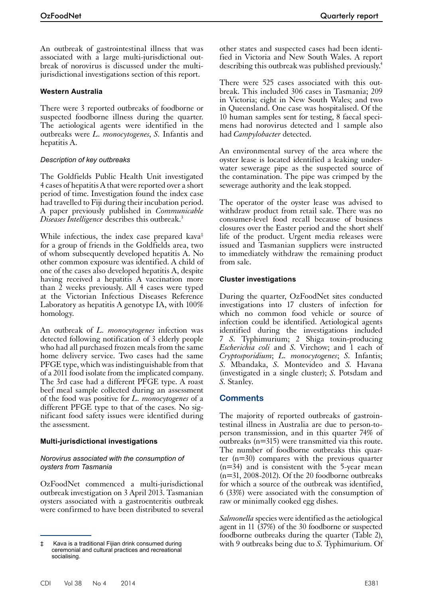An outbreak of gastrointestinal illness that was associated with a large multi-jurisdictional outbreak of norovirus is discussed under the multijurisdictional investigations section of this report.

# **Western Australia**

There were 3 reported outbreaks of foodborne or suspected foodborne illness during the quarter. The aetiological agents were identified in the outbreaks were *L. monocytogenes*, *S.* Infantis and hepatitis A.

#### *Description of key outbreaks*

The Goldfields Public Health Unit investigated 4 cases of hepatitis A that were reported over a short period of time. Investigation found the index case had travelled to Fiji during their incubation period. A paper previously published in *Communicable Diseases Intelligence* describes this outbreak.<sup>3</sup>

While infectious, the index case prepared kava<sup>‡</sup> for a group of friends in the Goldfields area, two of whom subsequently developed hepatitis A. No other common exposure was identified. A child of one of the cases also developed hepatitis A, despite having received a hepatitis A vaccination more than 2 weeks previously. All 4 cases were typed at the Victorian Infectious Diseases Reference Laboratory as hepatitis A genotype IA, with 100% homology.

An outbreak of *L. monocytogenes* infection was detected following notification of 3 elderly people who had all purchased frozen meals from the same home delivery service. Two cases had the same PFGE type, which was indistinguishable from that of a 2011 food isolate from the implicated company. The 3rd case had a different PFGE type. A roast beef meal sample collected during an assessment of the food was positive for *L. monocytogenes* of a different PFGE type to that of the cases. No sig- nificant food safety issues were identified during the assessment.

# **Multi-jurisdictional investigations**

#### *Norovirus associated with the consumption of oysters from Tasmania*

OzFoodNet commenced a multi-jurisdictional outbreak investigation on 3 April 2013. Tasmanian oysters associated with a gastroenteritis outbreak were confirmed to have been distributed to several

other states and suspected cases had been identified in Victoria and New South Wales. A report describing this outbreak was published previously.<sup>4</sup>

There were 525 cases associated with this outbreak. This included 306 cases in Tasmania; 209 in Victoria; eight in New South Wales; and two in Queensland. One case was hospitalised. Of the 10 human samples sent for testing, 8 faecal specimens had norovirus detected and 1 sample also had *Campylobacter* detected.

An environmental survey of the area where the oyster lease is located identified a leaking underwater sewerage pipe as the suspected source of the contamination. The pipe was crimped by the sewerage authority and the leak stopped.

The operator of the oyster lease was advised to withdraw product from retail sale. There was no consumer-level food recall because of business closures over the Easter period and the short shelf life of the product. Urgent media releases were issued and Tasmanian suppliers were instructed to immediately withdraw the remaining product from sale.

# **Cluster investigations**

During the quarter, OzFoodNet sites conducted investigations into 17 clusters of infection for which no common food vehicle or source of infection could be identified. Aetiological agents identified during the investigations included 7 *S.* Typhimurium; 2 Shiga toxin-producing *Escherichia coli* and *S.* Virchow; and 1 each of *Cryptosporidium*; *L. monocytogenes*; *S.* Infantis; *S.* Mbandaka, *S.* Montevideo and *S.* Havana (investigated in a single cluster); *S.* Potsdam and *S.* Stanley.

# **Comments**

The majority of reported outbreaks of gastrointestinal illness in Australia are due to person-toperson transmission, and in this quarter 74% of outbreaks (n=315) were transmitted via this route. The number of foodborne outbreaks this quarter (n=30) compares with the previous quarter  $(n=34)$  and is consistent with the 5-year mean  $(n=31, 2008-2012)$ . Of the 20 foodborne outbreaks for which a source of the outbreak was identified, 6 (33%) were associated with the consumption of raw or minimally cooked egg dishes.

*Salmonella* species were identified as the aetiological agent in 11 (37%) of the 30 foodborne or suspected foodborne outbreaks during the quarter (Table 2), with 9 outbreaks being due to *S.* Typhimurium. Of

<sup>‡</sup> Kava is a traditional Fijian drink consumed during ceremonial and cultural practices and recreational socialising.